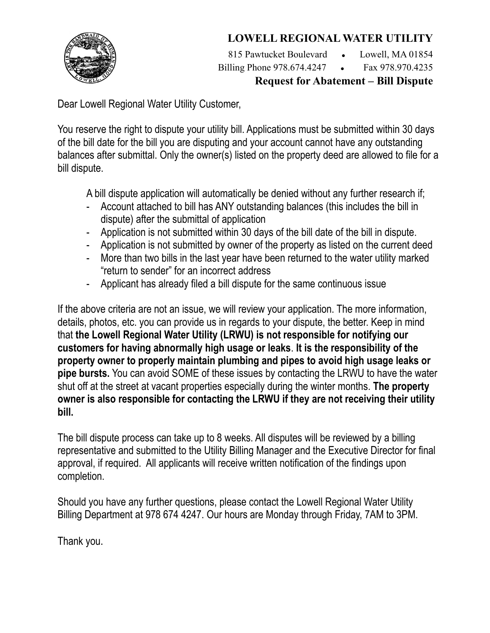## **LOWELL REGIONAL WATER UTILITY**



815 Pawtucket Boulevard • Lowell, MA 01854 Billing Phone 978.674.4247 • Fax 978.970.4235

**Request for Abatement – Bill Dispute**

Dear Lowell Regional Water Utility Customer,

You reserve the right to dispute your utility bill. Applications must be submitted within 30 days of the bill date for the bill you are disputing and your account cannot have any outstanding balances after submittal. Only the owner(s) listed on the property deed are allowed to file for a bill dispute.

A bill dispute application will automatically be denied without any further research if;

- Account attached to bill has ANY outstanding balances (this includes the bill in dispute) after the submittal of application
- Application is not submitted within 30 days of the bill date of the bill in dispute.
- Application is not submitted by owner of the property as listed on the current deed
- More than two bills in the last year have been returned to the water utility marked "return to sender" for an incorrect address
- Applicant has already filed a bill dispute for the same continuous issue

If the above criteria are not an issue, we will review your application. The more information, details, photos, etc. you can provide us in regards to your dispute, the better. Keep in mind that **the Lowell Regional Water Utility (LRWU) is not responsible for notifying our customers for having abnormally high usage or leaks**. **It is the responsibility of the property owner to properly maintain plumbing and pipes to avoid high usage leaks or pipe bursts.** You can avoid SOME of these issues by contacting the LRWU to have the water shut off at the street at vacant properties especially during the winter months. **The property owner is also responsible for contacting the LRWU if they are not receiving their utility bill.**

The bill dispute process can take up to 8 weeks. All disputes will be reviewed by a billing representative and submitted to the Utility Billing Manager and the Executive Director for final approval, if required. All applicants will receive written notification of the findings upon completion.

Should you have any further questions, please contact the Lowell Regional Water Utility Billing Department at 978 674 4247. Our hours are Monday through Friday, 7AM to 3PM.

Thank you.